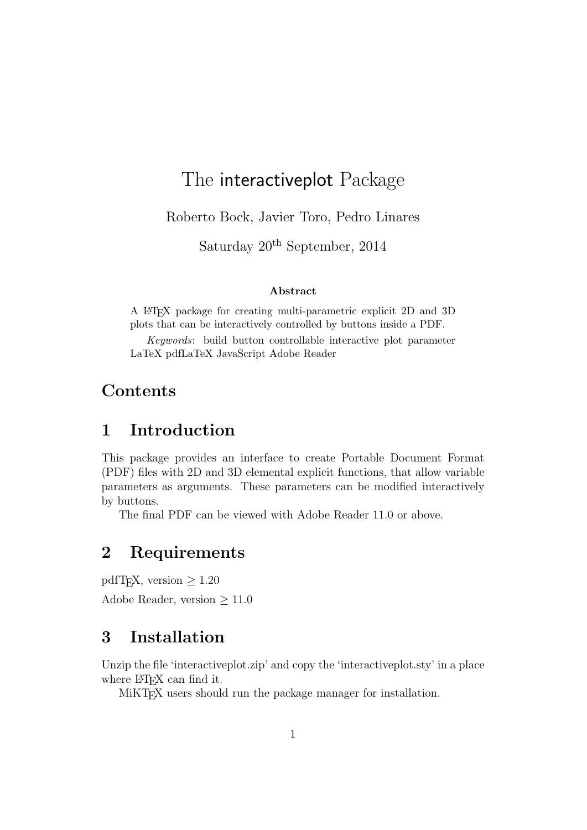# The interactiveplot Package

Roberto Bock, Javier Toro, Pedro Linares

Saturday  $20<sup>th</sup>$  September, 2014

#### Abstract

A LATEX package for creating multi-parametric explicit 2D and 3D plots that can be interactively controlled by buttons inside a PDF.

Keywords: build button controllable interactive plot parameter LaTeX pdfLaTeX JavaScript Adobe Reader

### Contents

# 1 Introduction

This package provides an interface to create Portable Document Format (PDF) files with 2D and 3D elemental explicit functions, that allow variable parameters as arguments. These parameters can be modified interactively by buttons.

The final PDF can be viewed with Adobe Reader 11.0 or above.

# 2 Requirements

pdfT<sub>E</sub>X, version  $\geq 1.20$ 

Adobe Reader, version ≥ 11.0

# 3 Installation

Unzip the file 'interactiveplot.zip' and copy the 'interactiveplot.sty' in a place where L<sup>AT</sup>FX can find it.

MiKT<sub>E</sub>X users should run the package manager for installation.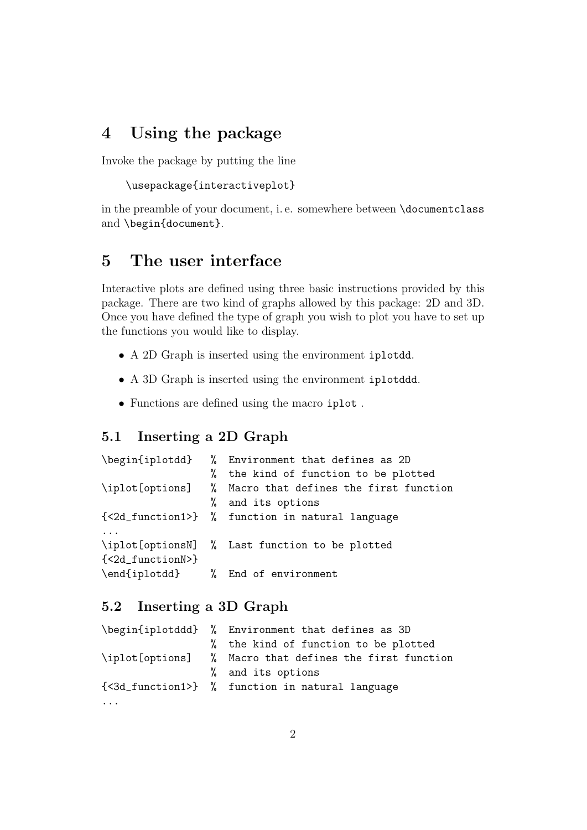# 4 Using the package

Invoke the package by putting the line

```
\usepackage{interactiveplot}
```
in the preamble of your document, i. e. somewhere between \documentclass and \begin{document}.

## 5 The user interface

Interactive plots are defined using three basic instructions provided by this package. There are two kind of graphs allowed by this package: 2D and 3D. Once you have defined the type of graph you wish to plot you have to set up the functions you would like to display.

- A 2D Graph is inserted using the environment iplotdd.
- A 3D Graph is inserted using the environment iplotddd.
- Functions are defined using the macro iplot .

### 5.1 Inserting a 2D Graph

|                  |    | \begin{iplotdd} % Environment that defines as 2D        |
|------------------|----|---------------------------------------------------------|
|                  | %  | the kind of function to be plotted                      |
|                  |    | \iplot[options] % Macro that defines the first function |
|                  | Y. | and its options                                         |
|                  |    | {<2d_function1>} % function in natural language         |
|                  |    |                                                         |
|                  |    | \iplot[optionsN] % Last function to be plotted          |
| {<2d_functionN>} |    |                                                         |
|                  |    | \end{iplotdd} % End of environment                      |

#### 5.2 Inserting a 3D Graph

|          |  | \begin{iplotddd} % Environment that defines as 3D                            |  |  |  |
|----------|--|------------------------------------------------------------------------------|--|--|--|
|          |  | % the kind of function to be plotted                                         |  |  |  |
|          |  | \iplot[options] % Macro that defines the first function<br>% and its options |  |  |  |
|          |  |                                                                              |  |  |  |
|          |  | {<3d_function1>} % function in natural language                              |  |  |  |
| $\cdots$ |  |                                                                              |  |  |  |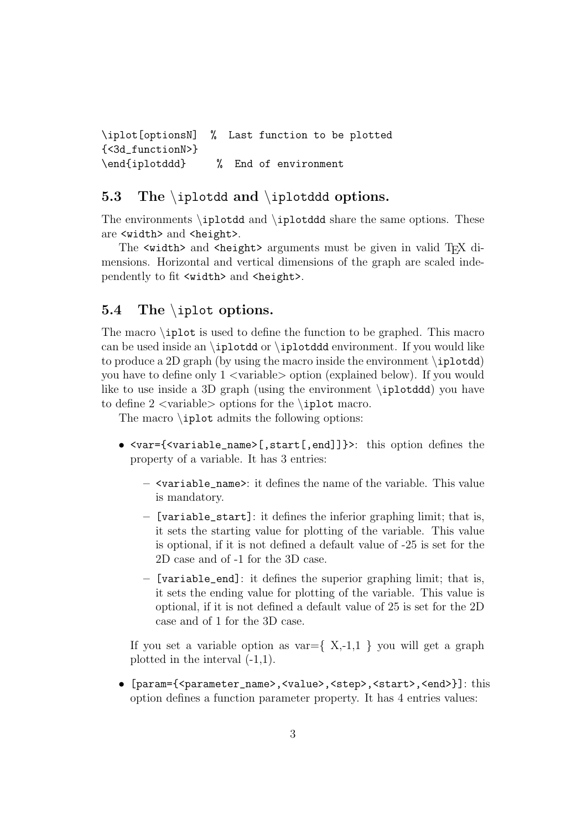```
\iplot[optionsN] % Last function to be plotted
{<3d_functionN>}
\end{iplotddd} % End of environment
```
#### 5.3 The \iplotdd and \iplotddd options.

The environments \iplotdd and \iplotddd share the same options. These are <width> and <height>.

The  $\leq$  width> and  $\leq$  height> arguments must be given in valid T<sub>EX</sub> dimensions. Horizontal and vertical dimensions of the graph are scaled independently to fit <width> and <height>.

#### 5.4 The \iplot options.

The macro \iplot is used to define the function to be graphed. This macro can be used inside an  $\iota$  iplotdd or  $\iota$  environment. If you would like to produce a 2D graph (by using the macro inside the environment \iplotdd) you have to define only  $1 \leq$  variable  $\geq$  option (explained below). If you would like to use inside a 3D graph (using the environment \iplotddd) you have to define  $2 \langle \text{variable} \rangle$  options for the \iplot macro.

The macro \iplot admits the following options:

- <var={<variable\_name>[,start[,end]]}>: this option defines the property of a variable. It has 3 entries:
	- $\leq$  variable name>: it defines the name of the variable. This value is mandatory.
	- [variable\_start]: it defines the inferior graphing limit; that is, it sets the starting value for plotting of the variable. This value is optional, if it is not defined a default value of -25 is set for the 2D case and of -1 for the 3D case.
	- [variable\_end]: it defines the superior graphing limit; that is, it sets the ending value for plotting of the variable. This value is optional, if it is not defined a default value of 25 is set for the 2D case and of 1 for the 3D case.

If you set a variable option as  $var = \{ X, -1, 1 \}$  you will get a graph plotted in the interval (-1,1).

• [param={<parameter\_name>,<value>,<step>,<start>,<end>}]: this option defines a function parameter property. It has 4 entries values: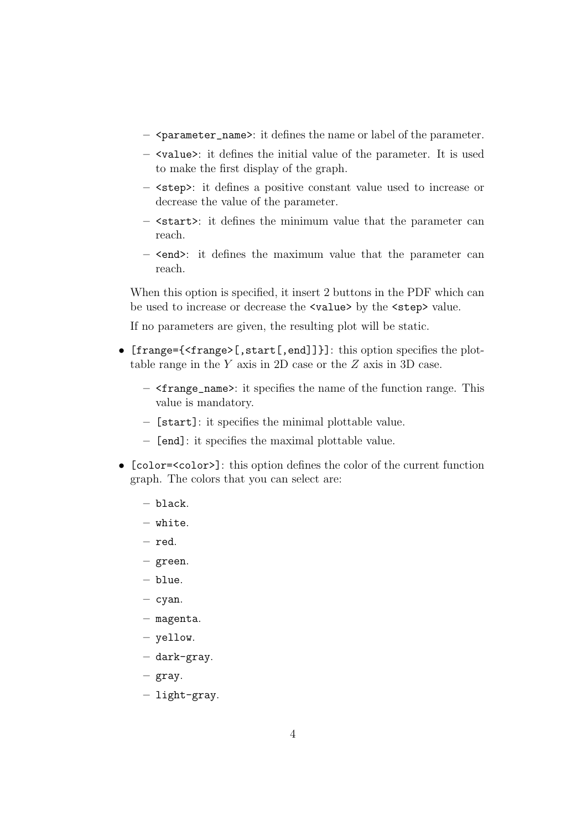- $-$  <parameter\_name>: it defines the name or label of the parameter.
- <value>: it defines the initial value of the parameter. It is used to make the first display of the graph.
- <step>: it defines a positive constant value used to increase or decrease the value of the parameter.
- <start>: it defines the minimum value that the parameter can reach.
- <end>: it defines the maximum value that the parameter can reach.

When this option is specified, it insert 2 buttons in the PDF which can be used to increase or decrease the <value> by the <step> value.

If no parameters are given, the resulting plot will be static.

- [frange={<frange>[,start[,end]]}]: this option specifies the plottable range in the Y axis in 2D case or the Z axis in 3D case.
	- $-$  <frange\_name>: it specifies the name of the function range. This value is mandatory.
	- [start]: it specifies the minimal plottable value.
	- [end]: it specifies the maximal plottable value.
- [color=<color>]: this option defines the color of the current function graph. The colors that you can select are:
	- black.
	- white.
	- red.
	- green.
	- blue.
	- $-$  cyan.
	- magenta.
	- yellow.
	- dark-gray.
	- gray.
	- light-gray.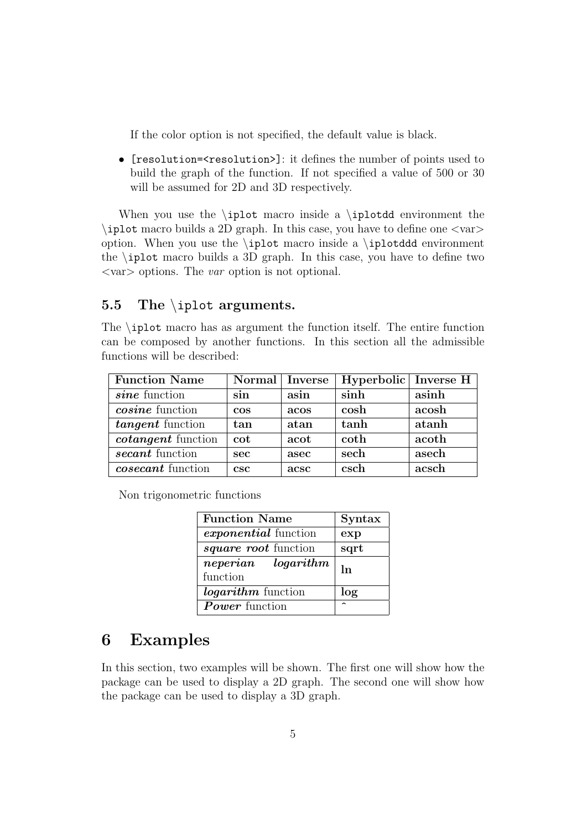If the color option is not specified, the default value is black.

• [resolution=<resolution>]: it defines the number of points used to build the graph of the function. If not specified a value of 500 or 30 will be assumed for 2D and 3D respectively.

When you use the  $\phi$  macro inside a  $\phi$  environment the  $\iota$  iplot macro builds a 2D graph. In this case, you have to define one  $\langle \text{var} \rangle$ option. When you use the \iplot macro inside a \iplotddd environment the \iplot macro builds a 3D graph. In this case, you have to define two  $\langle var \rangle$  options. The var option is not optional.

#### 5.5 The \iplot arguments.

The \iplot macro has as argument the function itself. The entire function can be composed by another functions. In this section all the admissible functions will be described:

| <b>Function Name</b>      | Normal   Inverse |      | Hyperbolic Inverse H |       |
|---------------------------|------------------|------|----------------------|-------|
| sine function             | sin              | asin | sinh                 | asinh |
| <i>cosine</i> function    | $\cos$           | acos | cosh                 | acosh |
| tangent function          | tan              | atan | tanh                 | atanh |
| <i>cotangent</i> function | $\cot$           | acot | coth                 | acoth |
| secant function           | <b>sec</b>       | asec | sech                 | asech |
| <i>cosecant</i> function  | csc              | acsc | csch                 | acsch |

Non trigonometric functions

| <b>Function Name</b>        | Syntax |  |
|-----------------------------|--------|--|
| <i>exponential</i> function | exp    |  |
| <i>square root</i> function | sqrt   |  |
| neperian logarithm          | ln     |  |
| function                    |        |  |
| <i>logarithm</i> function   | log    |  |
| <b>Power</b> function       |        |  |

### 6 Examples

In this section, two examples will be shown. The first one will show how the package can be used to display a 2D graph. The second one will show how the package can be used to display a 3D graph.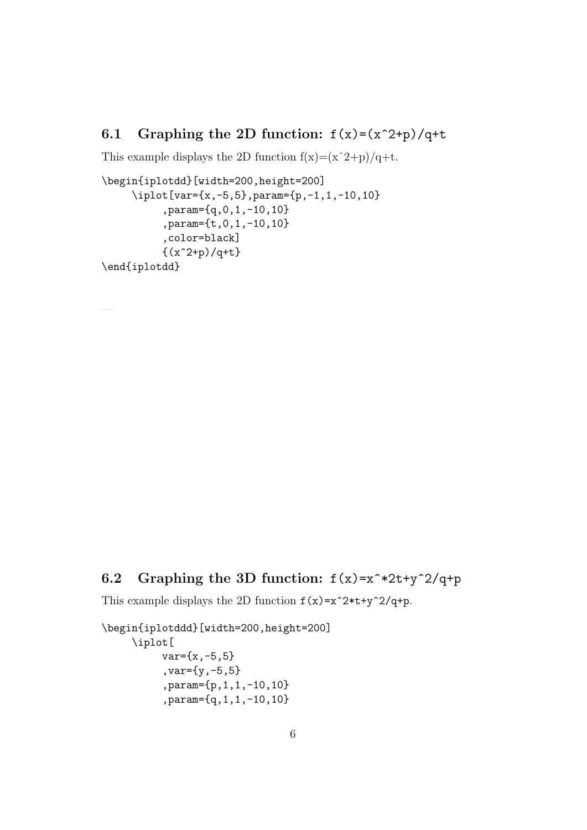### 6.1 Graphing the 2D function:  $f(x)=(x^2+p)/q+t$

This example displays the 2D function  $f(x)=(x^2+p)/q+t$ .

```
\begin{iplotdd}[width=200,height=200]
     \iplot[var={x,-5,5},param={p,-1,1,-10,10}
          ,param={q,0,1,-10,10}
          ,param={t,0,1,-10,10}
          ,color=black]
          \{(x^2+p)/q+t\}\end{iplotdd}
```
### 6.2 Graphing the 3D function:  $f(x)=x^*2t+y^2/(q+p)$

This example displays the 2D function  $f(x)=x^2*t+y^2/q+p$ .

```
\begin{iplotddd}[width=200,height=200]
     \iplot[
          var={x,-5,5},var={y,-5,5}
          ,param={p,1,1,-10,10}
          ,param={q,1,1,-10,10}
```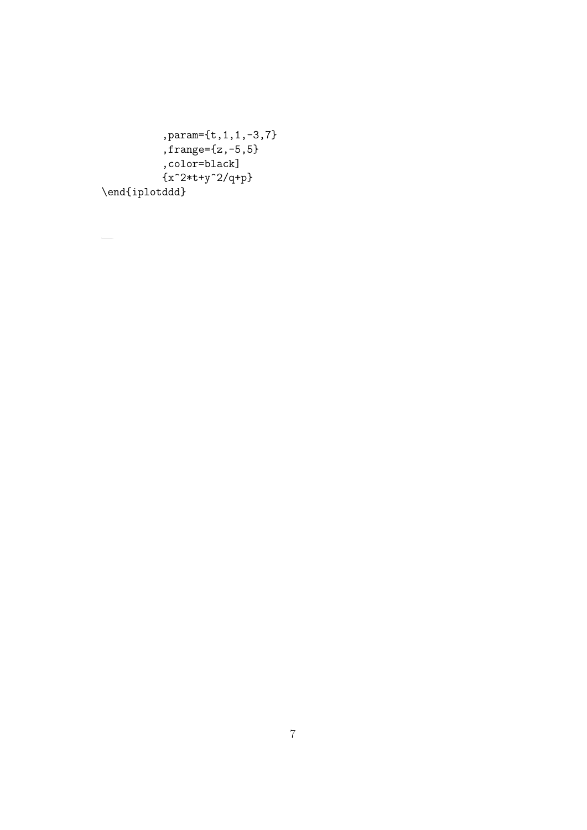,param={t,1,1,-3,7} ,frange={z,-5,5} ,color=black] {x^2\*t+y^2/q+p} \end{iplotddd}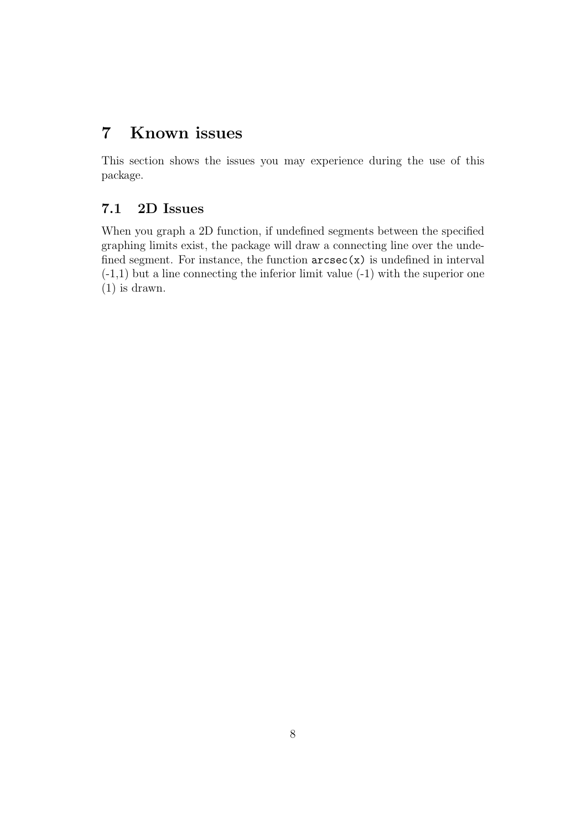# 7 Known issues

This section shows the issues you may experience during the use of this package.

### 7.1 2D Issues

When you graph a 2D function, if undefined segments between the specified graphing limits exist, the package will draw a connecting line over the undefined segment. For instance, the function  $\arcsec(x)$  is undefined in interval  $(-1,1)$  but a line connecting the inferior limit value  $(-1)$  with the superior one (1) is drawn.